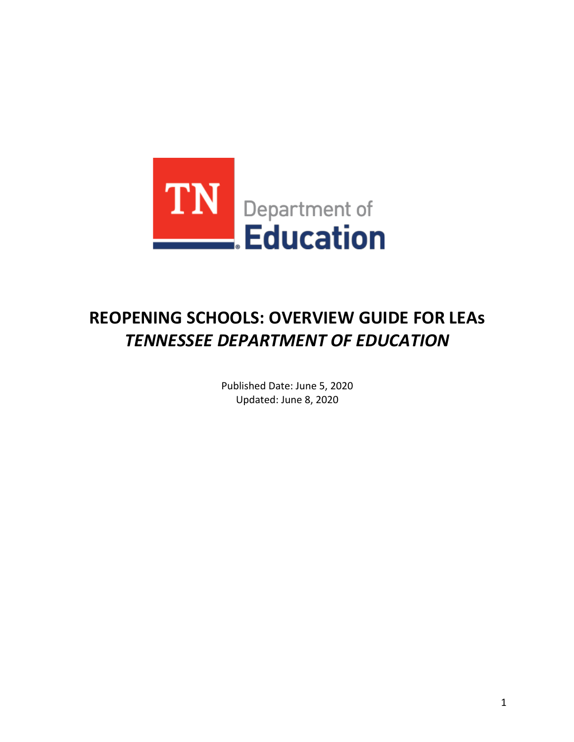

# **REOPENING SCHOOLS: OVERVIEW GUIDE FOR LEAs**  *TENNESSEE DEPARTMENT OF EDUCATION*

 Published Date: June 5, 2020 Updated: June 8, 2020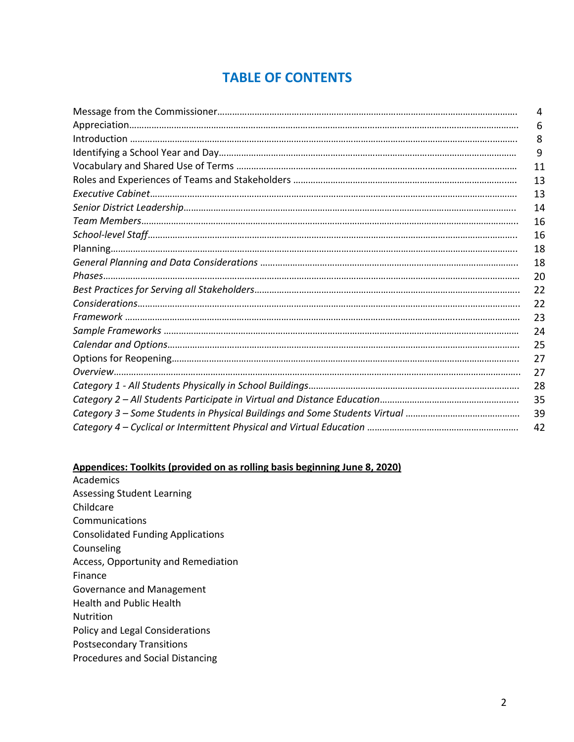# **TABLE OF CONTENTS**

| 4  |
|----|
| 6  |
| 8  |
| 9  |
| 11 |
| 13 |
| 13 |
| 14 |
| 16 |
| 16 |
| 18 |
| 18 |
| 20 |
| 22 |
| 22 |
| 23 |
| 24 |
| 25 |
| 27 |
| 27 |
| 28 |
| 35 |
| 39 |
| 42 |

### **Appendices: Toolkits (provided on as rolling basis beginning June 8, 2020)**

 Policy and Legal Considerations Academics Assessing Student Learning Childcare Communications Consolidated Funding Applications Counseling Access, Opportunity and Remediation Finance Governance and Management Health and Public Health Nutrition Postsecondary Transitions Procedures and Social Distancing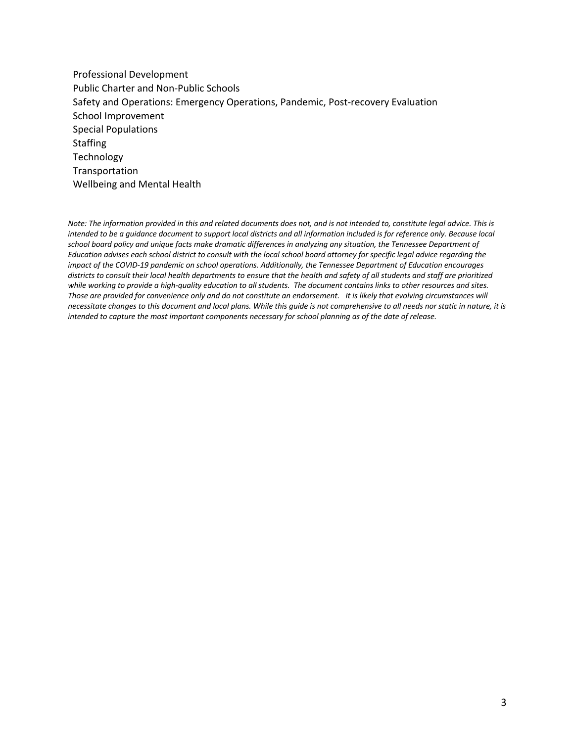Wellbeing and Mental Health Professional Development Public Charter and Non-Public Schools Safety and Operations: Emergency Operations, Pandemic, Post-recovery Evaluation School Improvement Special Populations **Staffing Technology** Transportation

 *Note: The information provided in this and related documents does not, and is not intended to, constitute legal advice. This is school board policy and unique facts make dramatic differences in analyzing any situation, the Tennessee Department of Education advises each school district to consult with the local school board attorney for specific legal advice regarding the impact of the COVID-19 pandemic on school operations. Additionally, the Tennessee Department of Education encourages districts to consult their local health departments to ensure that the health and safety of all students and staff are prioritized*  while working to provide a high-quality education to all students. The document contains links to other resources and sites.  *Those are provided for convenience only and do not constitute an endorsement. It is likely that evolving circumstances will necessitate changes to this document and local plans. While this guide is not comprehensive to all needs nor static in nature, it is intended to be a guidance document to support local districts and all information included is for reference only. Because local intended to capture the most important components necessary for school planning as of the date of release.*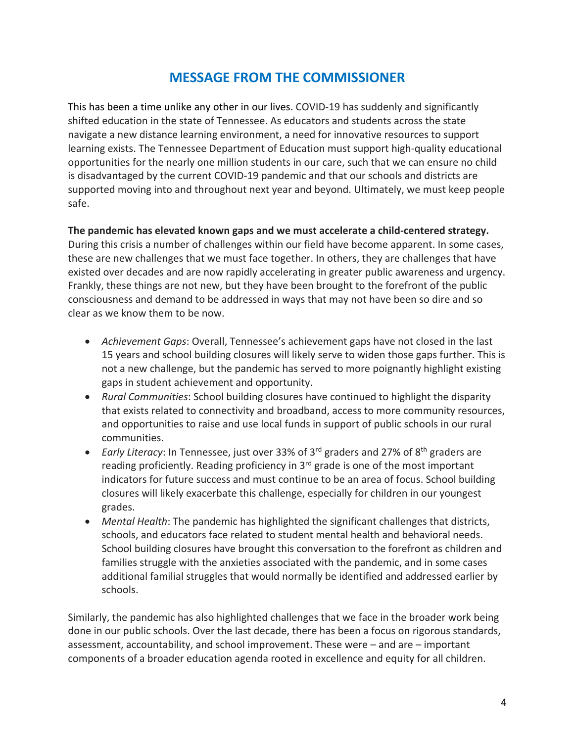### **MESSAGE FROM THE COMMISSIONER**

 This has been a time unlike any other in our lives. COVID-19 has suddenly and significantly shifted education in the state of Tennessee. As educators and students across the state navigate a new distance learning environment, a need for innovative resources to support learning exists. The Tennessee Department of Education must support high-quality educational opportunities for the nearly one million students in our care, such that we can ensure no child is disadvantaged by the current COVID-19 pandemic and that our schools and districts are supported moving into and throughout next year and beyond. Ultimately, we must keep people safe.

### **The pandemic has elevated known gaps and we must accelerate a child-centered strategy.**

 During this crisis a number of challenges within our field have become apparent. In some cases, these are new challenges that we must face together. In others, they are challenges that have existed over decades and are now rapidly accelerating in greater public awareness and urgency. Frankly, these things are not new, but they have been brought to the forefront of the public consciousness and demand to be addressed in ways that may not have been so dire and so clear as we know them to be now.

- • *Achievement Gaps*: Overall, Tennessee's achievement gaps have not closed in the last 15 years and school building closures will likely serve to widen those gaps further. This is not a new challenge, but the pandemic has served to more poignantly highlight existing gaps in student achievement and opportunity.
- • *Rural Communities*: School building closures have continued to highlight the disparity that exists related to connectivity and broadband, access to more community resources, and opportunities to raise and use local funds in support of public schools in our rural communities.
- • *Early Literacy*: In Tennessee, just over 33% of 3rd graders and 27% of 8th graders are reading proficiently. Reading proficiency in 3<sup>rd</sup> grade is one of the most important indicators for future success and must continue to be an area of focus. School building closures will likely exacerbate this challenge, especially for children in our youngest grades.
- • *Mental Health*: The pandemic has highlighted the significant challenges that districts, schools, and educators face related to student mental health and behavioral needs. School building closures have brought this conversation to the forefront as children and families struggle with the anxieties associated with the pandemic, and in some cases additional familial struggles that would normally be identified and addressed earlier by schools.

 Similarly, the pandemic has also highlighted challenges that we face in the broader work being done in our public schools. Over the last decade, there has been a focus on rigorous standards, assessment, accountability, and school improvement. These were – and are – important components of a broader education agenda rooted in excellence and equity for all children.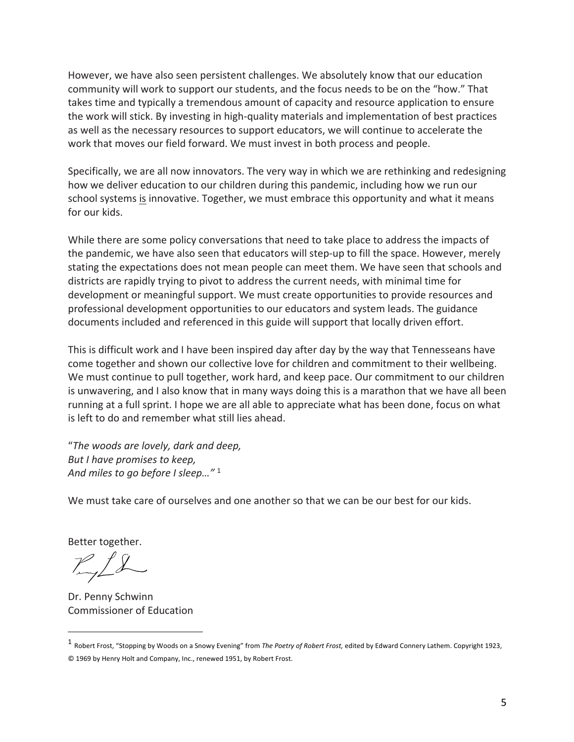However, we have also seen persistent challenges. We absolutely know that our education community will work to support our students, and the focus needs to be on the "how." That takes time and typically a tremendous amount of capacity and resource application to ensure the work will stick. By investing in high-quality materials and implementation of best practices as well as the necessary resources to support educators, we will continue to accelerate the work that moves our field forward. We must invest in both process and people.

 Specifically, we are all now innovators. The very way in which we are rethinking and redesigning how we deliver education to our children during this pandemic, including how we run our school systems is innovative. Together, we must embrace this opportunity and what it means for our kids.

 While there are some policy conversations that need to take place to address the impacts of the pandemic, we have also seen that educators will step-up to fill the space. However, merely stating the expectations does not mean people can meet them. We have seen that schools and districts are rapidly trying to pivot to address the current needs, with minimal time for development or meaningful support. We must create opportunities to provide resources and professional development opportunities to our educators and system leads. The guidance documents included and referenced in this guide will support that locally driven effort.

 This is difficult work and I have been inspired day after day by the way that Tennesseans have come together and shown our collective love for children and commitment to their wellbeing. We must continue to pull together, work hard, and keep pace. Our commitment to our children is unwavering, and I also know that in many ways doing this is a marathon that we have all been running at a full sprint. I hope we are all able to appreciate what has been done, focus on what is left to do and remember what still lies ahead.

 *But I have promises to keep, And miles to go before I sleep…"* <sup>1</sup> "*The woods are lovely, dark and deep,* 

We must take care of ourselves and one another so that we can be our best for our kids.

Better together.

 Commissioner of Education Dr. Penny Schwinn

 1 Robert Frost, "Stopping by Woods on a Snowy Evening" from *The Poetry of Robert Frost,* edited by Edward Connery Lathem. Copyright 1923, © 1969 by Henry Holt and Company, Inc., renewed 1951, by Robert Frost.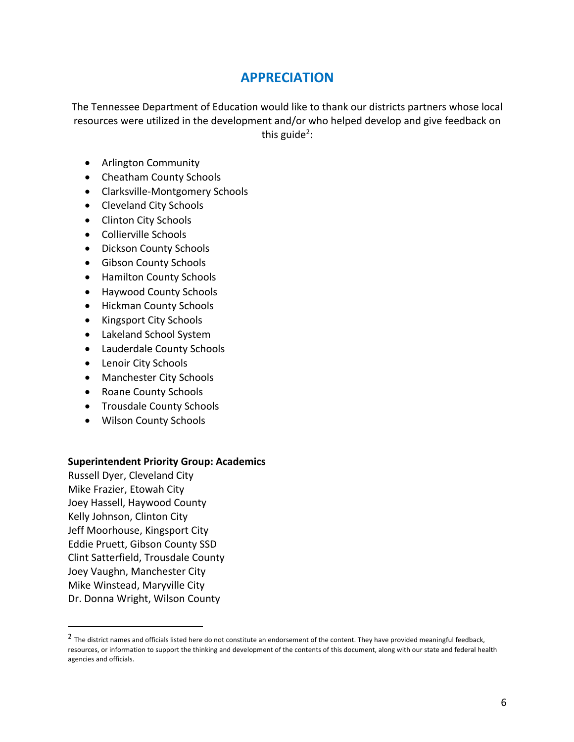### **APPRECIATION**

 The Tennessee Department of Education would like to thank our districts partners whose local resources were utilized in the development and/or who helped develop and give feedback on this guide<sup>2</sup>:

- Arlington Community
- Cheatham County Schools
- Clarksville-Montgomery Schools
- Cleveland City Schools
- Clinton City Schools
- Collierville Schools
- Dickson County Schools
- Gibson County Schools
- Hamilton County Schools
- Haywood County Schools
- Hickman County Schools
- Kingsport City Schools
- Lakeland School System
- Lauderdale County Schools
- Lenoir City Schools
- Manchester City Schools
- Roane County Schools
- Trousdale County Schools
- Wilson County Schools

#### **Superintendent Priority Group: Academics**

 Russell Dyer, Cleveland City Mike Frazier, Etowah City Joey Hassell, Haywood County Kelly Johnson, Clinton City Jeff Moorhouse, Kingsport City Jeff Moorhouse, Kingsport City<br>Eddie Pruett, Gibson County SSD Clint Satterfield, Trousdale County Joey Vaughn, Manchester City Mike Winstead, Maryville City Dr. Donna Wright, Wilson County

 $^2$  The district names and officials listed here do not constitute an endorsement of the content. They have provided meaningful feedback, resources, or information to support the thinking and development of the contents of this document, along with our state and federal health agencies and officials.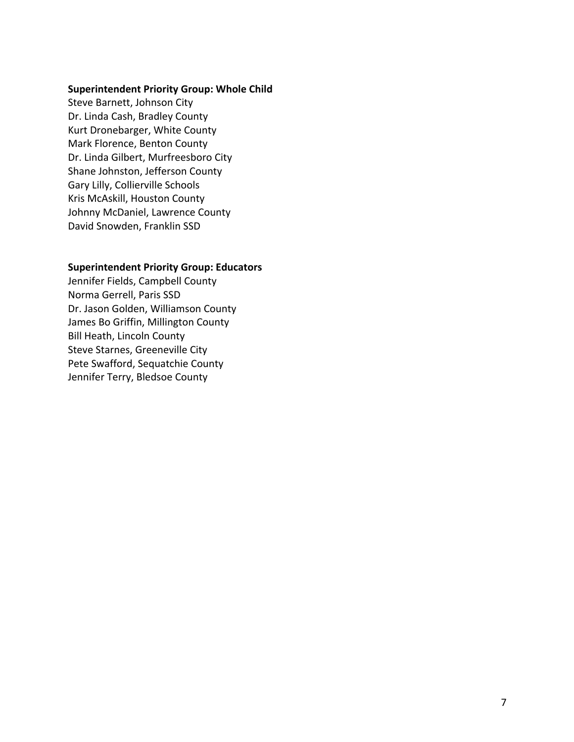#### **Superintendent Priority Group: Whole Child**

 Steve Barnett, Johnson City Dr. Linda Cash, Bradley County Kurt Dronebarger, White County Mark Florence, Benton County Dr. Linda Gilbert, Murfreesboro City Shane Johnston, Jefferson County Kris McAskill, Houston County Johnny McDaniel, Lawrence County David Snowden, Franklin SSD Gary Lilly, Collierville Schools

#### **Superintendent Priority Group: Educators**

 Jennifer Fields, Campbell County Norma Gerrell, Paris SSD Dr. Jason Golden, Williamson County James Bo Griffin, Millington County Bill Heath, Lincoln County Steve Starnes, Greeneville City Pete Swafford, Sequatchie County Jennifer Terry, Bledsoe County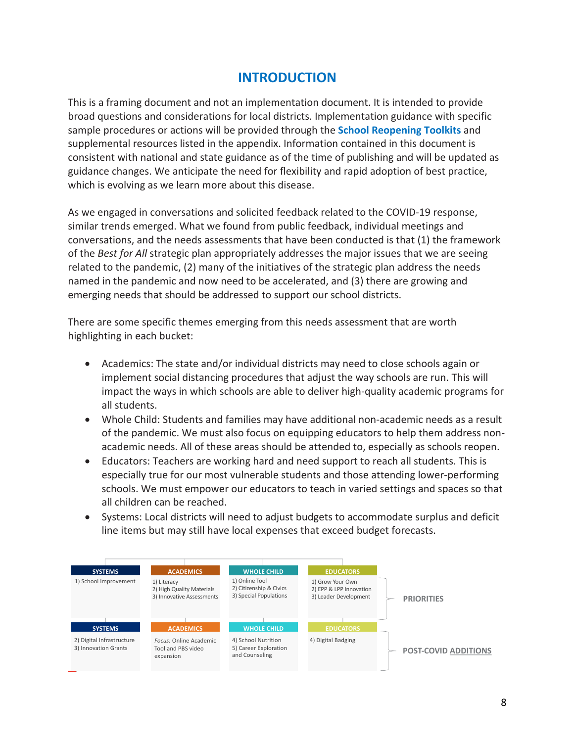### **INTRODUCTION**

 This is a framing document and not an implementation document. It is intended to provide broad questions and considerations for local districts. Implementation guidance with specific sample procedures or actions will be provided through the **School Reopening Toolkits** and supplemental resources listed in the appendix. Information contained in this document is consistent with national and state guidance as of the time of publishing and will be updated as guidance changes. We anticipate the need for flexibility and rapid adoption of best practice, which is evolving as we learn more about this disease.

 As we engaged in conversations and solicited feedback related to the COVID-19 response, similar trends emerged. What we found from public feedback, individual meetings and conversations, and the needs assessments that have been conducted is that (1) the framework of the *Best for All* strategic plan appropriately addresses the major issues that we are seeing related to the pandemic, (2) many of the initiatives of the strategic plan address the needs named in the pandemic and now need to be accelerated, and (3) there are growing and emerging needs that should be addressed to support our school districts.

 There are some specific themes emerging from this needs assessment that are worth highlighting in each bucket:

- • Academics: The state and/or individual districts may need to close schools again or implement social distancing procedures that adjust the way schools are run. This will impact the ways in which schools are able to deliver high-quality academic programs for all students.
- • Whole Child: Students and families may have additional non-academic needs as a result of the pandemic. We must also focus on equipping educators to help them address non- academic needs. All of these areas should be attended to, especially as schools reopen.
- Educators: Teachers are working hard and need support to reach all students. This is especially true for our most vulnerable students and those attending lower-performing schools. We must empower our educators to teach in varied settings and spaces so that all children can be reached. •
- Systems: Local districts will need to adjust budgets to accommodate surplus and deficit line items but may still have local expenses that exceed budget forecasts.

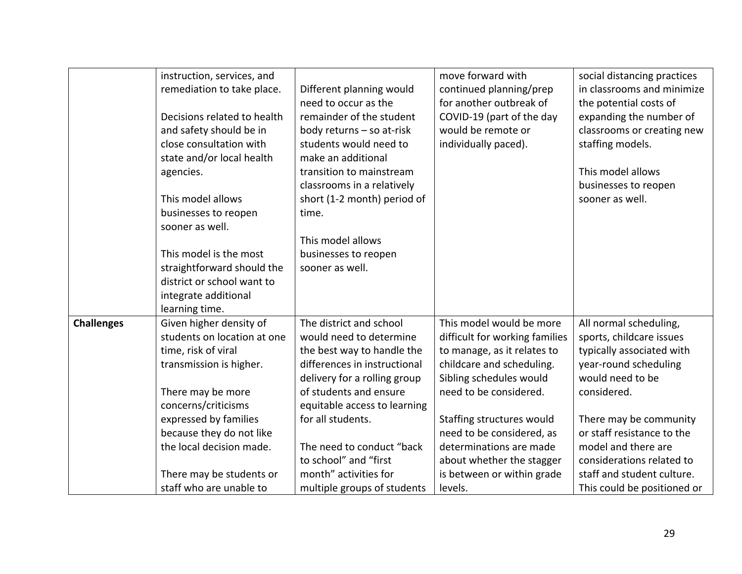|                   | instruction, services, and  |                              | move forward with              | social distancing practices |
|-------------------|-----------------------------|------------------------------|--------------------------------|-----------------------------|
|                   | remediation to take place.  | Different planning would     | continued planning/prep        | in classrooms and minimize  |
|                   |                             | need to occur as the         | for another outbreak of        | the potential costs of      |
|                   |                             |                              |                                |                             |
|                   | Decisions related to health | remainder of the student     | COVID-19 (part of the day      | expanding the number of     |
|                   | and safety should be in     | body returns - so at-risk    | would be remote or             | classrooms or creating new  |
|                   | close consultation with     | students would need to       | individually paced).           | staffing models.            |
|                   | state and/or local health   | make an additional           |                                |                             |
|                   | agencies.                   | transition to mainstream     |                                | This model allows           |
|                   |                             | classrooms in a relatively   |                                | businesses to reopen        |
|                   | This model allows           | short (1-2 month) period of  |                                | sooner as well.             |
|                   | businesses to reopen        | time.                        |                                |                             |
|                   | sooner as well.             |                              |                                |                             |
|                   |                             | This model allows            |                                |                             |
|                   | This model is the most      | businesses to reopen         |                                |                             |
|                   | straightforward should the  | sooner as well.              |                                |                             |
|                   | district or school want to  |                              |                                |                             |
|                   | integrate additional        |                              |                                |                             |
|                   | learning time.              |                              |                                |                             |
| <b>Challenges</b> | Given higher density of     | The district and school      | This model would be more       | All normal scheduling,      |
|                   | students on location at one | would need to determine      | difficult for working families | sports, childcare issues    |
|                   | time, risk of viral         | the best way to handle the   | to manage, as it relates to    | typically associated with   |
|                   | transmission is higher.     | differences in instructional | childcare and scheduling.      | year-round scheduling       |
|                   |                             | delivery for a rolling group | Sibling schedules would        | would need to be            |
|                   | There may be more           | of students and ensure       | need to be considered.         | considered.                 |
|                   | concerns/criticisms         | equitable access to learning |                                |                             |
|                   | expressed by families       | for all students.            | Staffing structures would      | There may be community      |
|                   | because they do not like    |                              | need to be considered, as      | or staff resistance to the  |
|                   | the local decision made.    | The need to conduct "back    | determinations are made        | model and there are         |
|                   |                             | to school" and "first        | about whether the stagger      | considerations related to   |
|                   | There may be students or    | month" activities for        | is between or within grade     | staff and student culture.  |
|                   | staff who are unable to     | multiple groups of students  | levels.                        | This could be positioned or |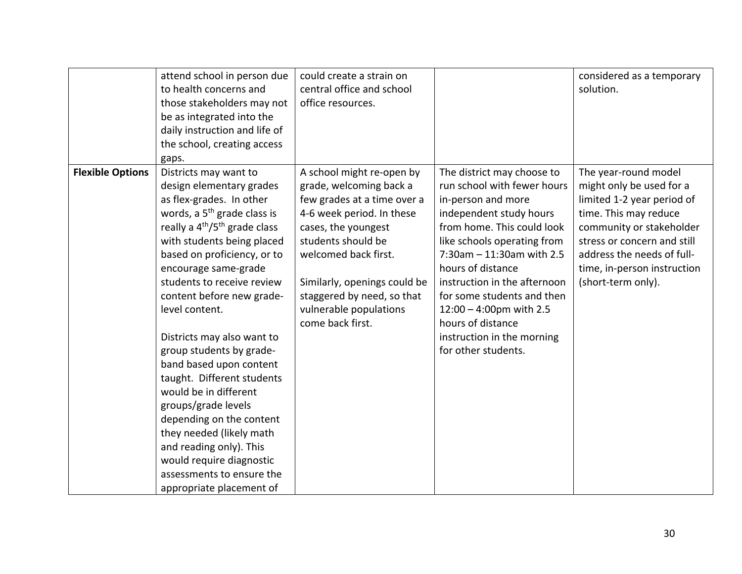|                         | attend school in person due<br>to health concerns and<br>those stakeholders may not<br>be as integrated into the<br>daily instruction and life of<br>the school, creating access<br>gaps.                                                                                                                                                                                                                                                                                                                                                                                                                                                                                                      | could create a strain on<br>central office and school<br>office resources.                                                                                                                                                                                                                        |                                                                                                                                                                                                                                                                                                                                                                                                 | considered as a temporary<br>solution.                                                                                                                                                                                                                |
|-------------------------|------------------------------------------------------------------------------------------------------------------------------------------------------------------------------------------------------------------------------------------------------------------------------------------------------------------------------------------------------------------------------------------------------------------------------------------------------------------------------------------------------------------------------------------------------------------------------------------------------------------------------------------------------------------------------------------------|---------------------------------------------------------------------------------------------------------------------------------------------------------------------------------------------------------------------------------------------------------------------------------------------------|-------------------------------------------------------------------------------------------------------------------------------------------------------------------------------------------------------------------------------------------------------------------------------------------------------------------------------------------------------------------------------------------------|-------------------------------------------------------------------------------------------------------------------------------------------------------------------------------------------------------------------------------------------------------|
| <b>Flexible Options</b> | Districts may want to<br>design elementary grades<br>as flex-grades. In other<br>words, a 5 <sup>th</sup> grade class is<br>really a 4 <sup>th</sup> /5 <sup>th</sup> grade class<br>with students being placed<br>based on proficiency, or to<br>encourage same-grade<br>students to receive review<br>content before new grade-<br>level content.<br>Districts may also want to<br>group students by grade-<br>band based upon content<br>taught. Different students<br>would be in different<br>groups/grade levels<br>depending on the content<br>they needed (likely math<br>and reading only). This<br>would require diagnostic<br>assessments to ensure the<br>appropriate placement of | A school might re-open by<br>grade, welcoming back a<br>few grades at a time over a<br>4-6 week period. In these<br>cases, the youngest<br>students should be<br>welcomed back first.<br>Similarly, openings could be<br>staggered by need, so that<br>vulnerable populations<br>come back first. | The district may choose to<br>run school with fewer hours<br>in-person and more<br>independent study hours<br>from home. This could look<br>like schools operating from<br>7:30am - 11:30am with 2.5<br>hours of distance<br>instruction in the afternoon<br>for some students and then<br>$12:00 - 4:00$ pm with 2.5<br>hours of distance<br>instruction in the morning<br>for other students. | The year-round model<br>might only be used for a<br>limited 1-2 year period of<br>time. This may reduce<br>community or stakeholder<br>stress or concern and still<br>address the needs of full-<br>time, in-person instruction<br>(short-term only). |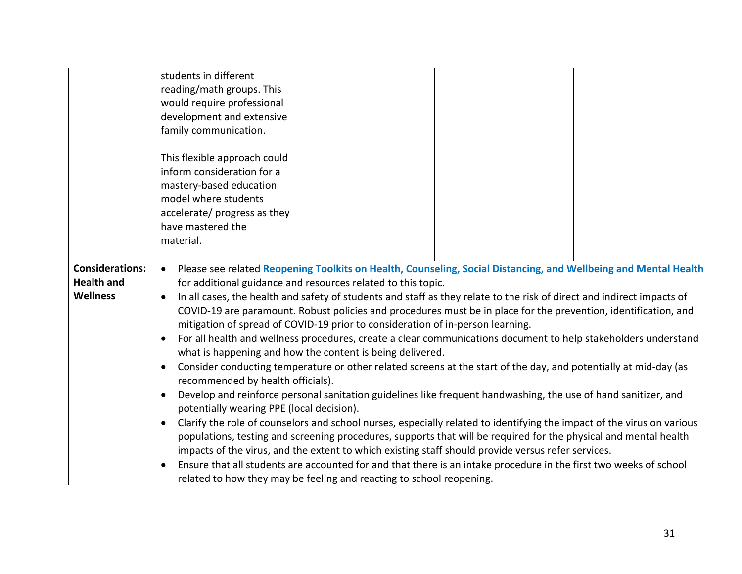|                                      | students in different<br>reading/math groups. This<br>would require professional<br>development and extensive<br>family communication.<br>This flexible approach could<br>inform consideration for a<br>mastery-based education                                                                                                                |  |  |  |
|--------------------------------------|------------------------------------------------------------------------------------------------------------------------------------------------------------------------------------------------------------------------------------------------------------------------------------------------------------------------------------------------|--|--|--|
|                                      | model where students                                                                                                                                                                                                                                                                                                                           |  |  |  |
|                                      | accelerate/ progress as they<br>have mastered the                                                                                                                                                                                                                                                                                              |  |  |  |
|                                      | material.                                                                                                                                                                                                                                                                                                                                      |  |  |  |
|                                      |                                                                                                                                                                                                                                                                                                                                                |  |  |  |
| <b>Considerations:</b>               | Please see related Reopening Toolkits on Health, Counseling, Social Distancing, and Wellbeing and Mental Health<br>$\bullet$                                                                                                                                                                                                                   |  |  |  |
| <b>Health and</b><br><b>Wellness</b> | for additional guidance and resources related to this topic.<br>In all cases, the health and safety of students and staff as they relate to the risk of direct and indirect impacts of                                                                                                                                                         |  |  |  |
|                                      | COVID-19 are paramount. Robust policies and procedures must be in place for the prevention, identification, and                                                                                                                                                                                                                                |  |  |  |
|                                      | mitigation of spread of COVID-19 prior to consideration of in-person learning.                                                                                                                                                                                                                                                                 |  |  |  |
|                                      | For all health and wellness procedures, create a clear communications document to help stakeholders understand<br>$\bullet$<br>what is happening and how the content is being delivered.                                                                                                                                                       |  |  |  |
|                                      | Consider conducting temperature or other related screens at the start of the day, and potentially at mid-day (as<br>$\bullet$<br>recommended by health officials).<br>Develop and reinforce personal sanitation guidelines like frequent handwashing, the use of hand sanitizer, and<br>$\bullet$<br>potentially wearing PPE (local decision). |  |  |  |
|                                      |                                                                                                                                                                                                                                                                                                                                                |  |  |  |
|                                      | Clarify the role of counselors and school nurses, especially related to identifying the impact of the virus on various<br>$\bullet$                                                                                                                                                                                                            |  |  |  |
|                                      | populations, testing and screening procedures, supports that will be required for the physical and mental health                                                                                                                                                                                                                               |  |  |  |
|                                      | impacts of the virus, and the extent to which existing staff should provide versus refer services.                                                                                                                                                                                                                                             |  |  |  |
|                                      | Ensure that all students are accounted for and that there is an intake procedure in the first two weeks of school<br>related to how they may be feeling and reacting to school reopening.                                                                                                                                                      |  |  |  |
|                                      |                                                                                                                                                                                                                                                                                                                                                |  |  |  |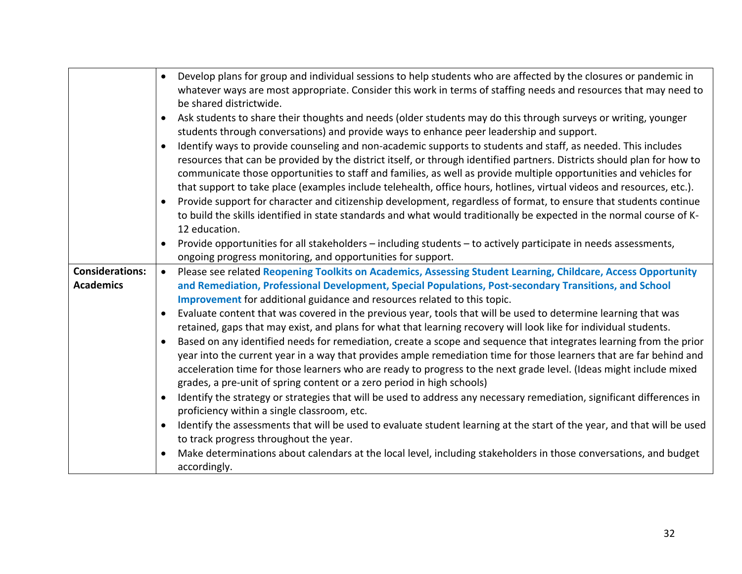|                                            | Develop plans for group and individual sessions to help students who are affected by the closures or pandemic in<br>$\bullet$<br>whatever ways are most appropriate. Consider this work in terms of staffing needs and resources that may need to<br>be shared districtwide.                                                                                                                                                                                                                                                                                                                                                                                                                                                                                                    |
|--------------------------------------------|---------------------------------------------------------------------------------------------------------------------------------------------------------------------------------------------------------------------------------------------------------------------------------------------------------------------------------------------------------------------------------------------------------------------------------------------------------------------------------------------------------------------------------------------------------------------------------------------------------------------------------------------------------------------------------------------------------------------------------------------------------------------------------|
|                                            | Ask students to share their thoughts and needs (older students may do this through surveys or writing, younger<br>$\bullet$<br>students through conversations) and provide ways to enhance peer leadership and support.                                                                                                                                                                                                                                                                                                                                                                                                                                                                                                                                                         |
|                                            | Identify ways to provide counseling and non-academic supports to students and staff, as needed. This includes<br>$\bullet$<br>resources that can be provided by the district itself, or through identified partners. Districts should plan for how to<br>communicate those opportunities to staff and families, as well as provide multiple opportunities and vehicles for<br>that support to take place (examples include telehealth, office hours, hotlines, virtual videos and resources, etc.).<br>Provide support for character and citizenship development, regardless of format, to ensure that students continue<br>$\bullet$<br>to build the skills identified in state standards and what would traditionally be expected in the normal course of K-<br>12 education. |
|                                            | Provide opportunities for all stakeholders – including students – to actively participate in needs assessments,<br>$\bullet$<br>ongoing progress monitoring, and opportunities for support.                                                                                                                                                                                                                                                                                                                                                                                                                                                                                                                                                                                     |
| <b>Considerations:</b><br><b>Academics</b> | Please see related Reopening Toolkits on Academics, Assessing Student Learning, Childcare, Access Opportunity<br>$\bullet$<br>and Remediation, Professional Development, Special Populations, Post-secondary Transitions, and School<br>Improvement for additional guidance and resources related to this topic.<br>Evaluate content that was covered in the previous year, tools that will be used to determine learning that was<br>$\bullet$<br>retained, gaps that may exist, and plans for what that learning recovery will look like for individual students.<br>Based on any identified needs for remediation, create a scope and sequence that integrates learning from the prior<br>$\bullet$                                                                          |
|                                            | year into the current year in a way that provides ample remediation time for those learners that are far behind and<br>acceleration time for those learners who are ready to progress to the next grade level. (Ideas might include mixed<br>grades, a pre-unit of spring content or a zero period in high schools)                                                                                                                                                                                                                                                                                                                                                                                                                                                             |
|                                            | Identify the strategy or strategies that will be used to address any necessary remediation, significant differences in<br>$\bullet$<br>proficiency within a single classroom, etc.                                                                                                                                                                                                                                                                                                                                                                                                                                                                                                                                                                                              |
|                                            | Identify the assessments that will be used to evaluate student learning at the start of the year, and that will be used<br>$\bullet$<br>to track progress throughout the year.                                                                                                                                                                                                                                                                                                                                                                                                                                                                                                                                                                                                  |
|                                            | Make determinations about calendars at the local level, including stakeholders in those conversations, and budget<br>accordingly.                                                                                                                                                                                                                                                                                                                                                                                                                                                                                                                                                                                                                                               |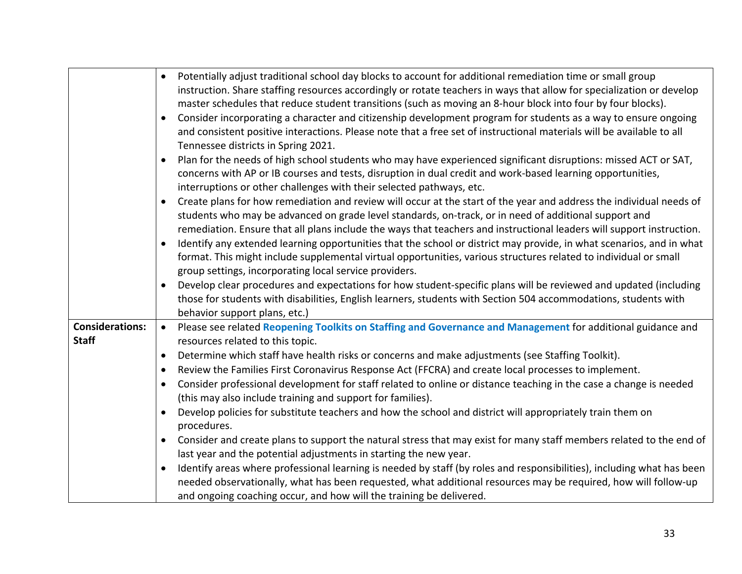|                                        | Potentially adjust traditional school day blocks to account for additional remediation time or small group<br>$\bullet$<br>instruction. Share staffing resources accordingly or rotate teachers in ways that allow for specialization or develop<br>master schedules that reduce student transitions (such as moving an 8-hour block into four by four blocks).<br>Consider incorporating a character and citizenship development program for students as a way to ensure ongoing<br>$\bullet$<br>and consistent positive interactions. Please note that a free set of instructional materials will be available to all<br>Tennessee districts in Spring 2021.                                                                                                                                                                                                                                                                                                                                                                                                                                                                                                                                                                                                 |
|----------------------------------------|----------------------------------------------------------------------------------------------------------------------------------------------------------------------------------------------------------------------------------------------------------------------------------------------------------------------------------------------------------------------------------------------------------------------------------------------------------------------------------------------------------------------------------------------------------------------------------------------------------------------------------------------------------------------------------------------------------------------------------------------------------------------------------------------------------------------------------------------------------------------------------------------------------------------------------------------------------------------------------------------------------------------------------------------------------------------------------------------------------------------------------------------------------------------------------------------------------------------------------------------------------------|
|                                        | Plan for the needs of high school students who may have experienced significant disruptions: missed ACT or SAT,<br>$\bullet$<br>concerns with AP or IB courses and tests, disruption in dual credit and work-based learning opportunities,<br>interruptions or other challenges with their selected pathways, etc.                                                                                                                                                                                                                                                                                                                                                                                                                                                                                                                                                                                                                                                                                                                                                                                                                                                                                                                                             |
|                                        | Create plans for how remediation and review will occur at the start of the year and address the individual needs of<br>students who may be advanced on grade level standards, on-track, or in need of additional support and<br>remediation. Ensure that all plans include the ways that teachers and instructional leaders will support instruction.<br>Identify any extended learning opportunities that the school or district may provide, in what scenarios, and in what<br>format. This might include supplemental virtual opportunities, various structures related to individual or small                                                                                                                                                                                                                                                                                                                                                                                                                                                                                                                                                                                                                                                              |
|                                        | group settings, incorporating local service providers.<br>Develop clear procedures and expectations for how student-specific plans will be reviewed and updated (including                                                                                                                                                                                                                                                                                                                                                                                                                                                                                                                                                                                                                                                                                                                                                                                                                                                                                                                                                                                                                                                                                     |
|                                        | those for students with disabilities, English learners, students with Section 504 accommodations, students with<br>behavior support plans, etc.)                                                                                                                                                                                                                                                                                                                                                                                                                                                                                                                                                                                                                                                                                                                                                                                                                                                                                                                                                                                                                                                                                                               |
| <b>Considerations:</b><br><b>Staff</b> | Please see related Reopening Toolkits on Staffing and Governance and Management for additional guidance and<br>$\bullet$<br>resources related to this topic.<br>Determine which staff have health risks or concerns and make adjustments (see Staffing Toolkit).<br>$\bullet$<br>Review the Families First Coronavirus Response Act (FFCRA) and create local processes to implement.<br>٠<br>Consider professional development for staff related to online or distance teaching in the case a change is needed<br>$\bullet$<br>(this may also include training and support for families).<br>Develop policies for substitute teachers and how the school and district will appropriately train them on<br>$\bullet$<br>procedures.<br>Consider and create plans to support the natural stress that may exist for many staff members related to the end of<br>last year and the potential adjustments in starting the new year.<br>Identify areas where professional learning is needed by staff (by roles and responsibilities), including what has been<br>$\bullet$<br>needed observationally, what has been requested, what additional resources may be required, how will follow-up<br>and ongoing coaching occur, and how will the training be delivered. |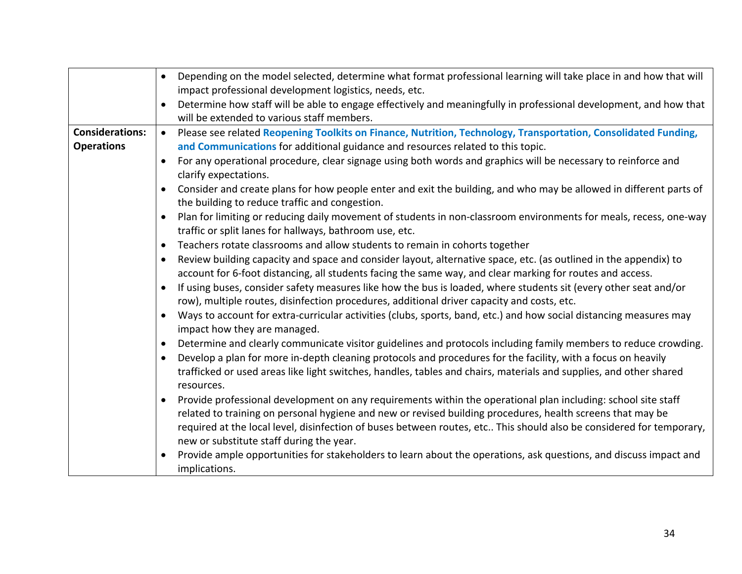|                                             | Depending on the model selected, determine what format professional learning will take place in and how that will<br>$\bullet$<br>impact professional development logistics, needs, etc.<br>Determine how staff will be able to engage effectively and meaningfully in professional development, and how that<br>will be extended to various staff members.                                                                                                                                                                                                                                                                                                                                                                                                                                                                                                                                                                                                                                                                                                                                                                                                                                                                                                                                                                                                                                                                                                                                                                                                                                                                                                                                                                                                                                                                                                                                                                                                                                                                                                                                                                                                                                                                                                                                                                                                                                                 |
|---------------------------------------------|-------------------------------------------------------------------------------------------------------------------------------------------------------------------------------------------------------------------------------------------------------------------------------------------------------------------------------------------------------------------------------------------------------------------------------------------------------------------------------------------------------------------------------------------------------------------------------------------------------------------------------------------------------------------------------------------------------------------------------------------------------------------------------------------------------------------------------------------------------------------------------------------------------------------------------------------------------------------------------------------------------------------------------------------------------------------------------------------------------------------------------------------------------------------------------------------------------------------------------------------------------------------------------------------------------------------------------------------------------------------------------------------------------------------------------------------------------------------------------------------------------------------------------------------------------------------------------------------------------------------------------------------------------------------------------------------------------------------------------------------------------------------------------------------------------------------------------------------------------------------------------------------------------------------------------------------------------------------------------------------------------------------------------------------------------------------------------------------------------------------------------------------------------------------------------------------------------------------------------------------------------------------------------------------------------------------------------------------------------------------------------------------------------------|
| <b>Considerations:</b><br><b>Operations</b> | Please see related Reopening Toolkits on Finance, Nutrition, Technology, Transportation, Consolidated Funding,<br>$\bullet$<br>and Communications for additional guidance and resources related to this topic.<br>For any operational procedure, clear signage using both words and graphics will be necessary to reinforce and<br>clarify expectations.<br>Consider and create plans for how people enter and exit the building, and who may be allowed in different parts of<br>$\bullet$<br>the building to reduce traffic and congestion.<br>Plan for limiting or reducing daily movement of students in non-classroom environments for meals, recess, one-way<br>traffic or split lanes for hallways, bathroom use, etc.<br>Teachers rotate classrooms and allow students to remain in cohorts together<br>$\bullet$<br>Review building capacity and space and consider layout, alternative space, etc. (as outlined in the appendix) to<br>$\bullet$<br>account for 6-foot distancing, all students facing the same way, and clear marking for routes and access.<br>If using buses, consider safety measures like how the bus is loaded, where students sit (every other seat and/or<br>row), multiple routes, disinfection procedures, additional driver capacity and costs, etc.<br>Ways to account for extra-curricular activities (clubs, sports, band, etc.) and how social distancing measures may<br>$\bullet$<br>impact how they are managed.<br>Determine and clearly communicate visitor guidelines and protocols including family members to reduce crowding.<br>٠<br>Develop a plan for more in-depth cleaning protocols and procedures for the facility, with a focus on heavily<br>$\bullet$<br>trafficked or used areas like light switches, handles, tables and chairs, materials and supplies, and other shared<br>resources.<br>Provide professional development on any requirements within the operational plan including: school site staff<br>related to training on personal hygiene and new or revised building procedures, health screens that may be<br>required at the local level, disinfection of buses between routes, etc This should also be considered for temporary,<br>new or substitute staff during the year.<br>Provide ample opportunities for stakeholders to learn about the operations, ask questions, and discuss impact and<br>$\bullet$<br>implications. |
|                                             | 34                                                                                                                                                                                                                                                                                                                                                                                                                                                                                                                                                                                                                                                                                                                                                                                                                                                                                                                                                                                                                                                                                                                                                                                                                                                                                                                                                                                                                                                                                                                                                                                                                                                                                                                                                                                                                                                                                                                                                                                                                                                                                                                                                                                                                                                                                                                                                                                                          |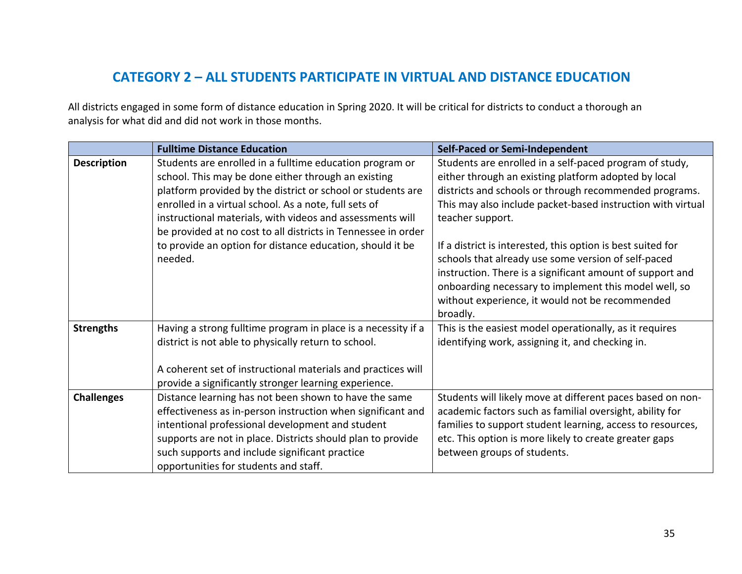# **CATEGORY 2 – ALL STUDENTS PARTICIPATE IN VIRTUAL AND DISTANCE EDUCATION**

 All districts engaged in some form of distance education in Spring 2020. It will be critical for districts to conduct a thorough an analysis for what did and did not work in those months.

|                    | <b>Fulltime Distance Education</b>                                                                              | Self-Paced or Semi-Independent                                                                                                                                                                                                                                                                          |  |
|--------------------|-----------------------------------------------------------------------------------------------------------------|---------------------------------------------------------------------------------------------------------------------------------------------------------------------------------------------------------------------------------------------------------------------------------------------------------|--|
| <b>Description</b> | Students are enrolled in a fulltime education program or<br>school. This may be done either through an existing | Students are enrolled in a self-paced program of study,<br>either through an existing platform adopted by local                                                                                                                                                                                         |  |
|                    | platform provided by the district or school or students are                                                     | districts and schools or through recommended programs.                                                                                                                                                                                                                                                  |  |
|                    | enrolled in a virtual school. As a note, full sets of                                                           | This may also include packet-based instruction with virtual                                                                                                                                                                                                                                             |  |
|                    | instructional materials, with videos and assessments will                                                       | teacher support.                                                                                                                                                                                                                                                                                        |  |
|                    | be provided at no cost to all districts in Tennessee in order                                                   |                                                                                                                                                                                                                                                                                                         |  |
|                    | to provide an option for distance education, should it be<br>needed.                                            | If a district is interested, this option is best suited for<br>schools that already use some version of self-paced<br>instruction. There is a significant amount of support and<br>onboarding necessary to implement this model well, so<br>without experience, it would not be recommended<br>broadly. |  |
| <b>Strengths</b>   | Having a strong fulltime program in place is a necessity if a                                                   | This is the easiest model operationally, as it requires                                                                                                                                                                                                                                                 |  |
|                    | district is not able to physically return to school.                                                            | identifying work, assigning it, and checking in.                                                                                                                                                                                                                                                        |  |
|                    | A coherent set of instructional materials and practices will                                                    |                                                                                                                                                                                                                                                                                                         |  |
|                    | provide a significantly stronger learning experience.                                                           |                                                                                                                                                                                                                                                                                                         |  |
| <b>Challenges</b>  | Distance learning has not been shown to have the same                                                           | Students will likely move at different paces based on non-                                                                                                                                                                                                                                              |  |
|                    | effectiveness as in-person instruction when significant and                                                     | academic factors such as familial oversight, ability for                                                                                                                                                                                                                                                |  |
|                    | intentional professional development and student                                                                | families to support student learning, access to resources,                                                                                                                                                                                                                                              |  |
|                    | supports are not in place. Districts should plan to provide<br>such supports and include significant practice   | etc. This option is more likely to create greater gaps<br>between groups of students.                                                                                                                                                                                                                   |  |
|                    | opportunities for students and staff.                                                                           |                                                                                                                                                                                                                                                                                                         |  |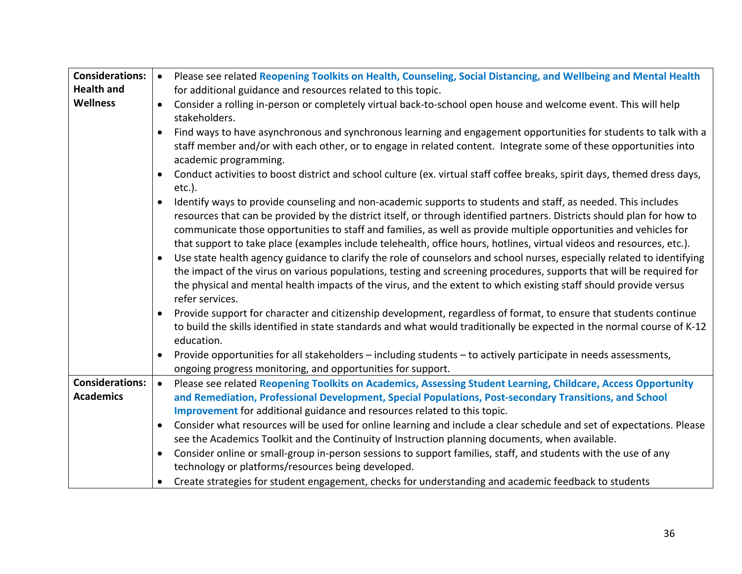| <b>Considerations:</b> | $\bullet$ | Please see related Reopening Toolkits on Health, Counseling, Social Distancing, and Wellbeing and Mental Health                                                                                                                                                                                                                                                                                                                                                                        |
|------------------------|-----------|----------------------------------------------------------------------------------------------------------------------------------------------------------------------------------------------------------------------------------------------------------------------------------------------------------------------------------------------------------------------------------------------------------------------------------------------------------------------------------------|
| <b>Health and</b>      |           | for additional guidance and resources related to this topic.                                                                                                                                                                                                                                                                                                                                                                                                                           |
| <b>Wellness</b>        | $\bullet$ | Consider a rolling in-person or completely virtual back-to-school open house and welcome event. This will help<br>stakeholders.                                                                                                                                                                                                                                                                                                                                                        |
|                        | $\bullet$ | Find ways to have asynchronous and synchronous learning and engagement opportunities for students to talk with a<br>staff member and/or with each other, or to engage in related content. Integrate some of these opportunities into<br>academic programming.                                                                                                                                                                                                                          |
|                        |           | Conduct activities to boost district and school culture (ex. virtual staff coffee breaks, spirit days, themed dress days,<br>$etc.$ ).                                                                                                                                                                                                                                                                                                                                                 |
|                        | $\bullet$ | Identify ways to provide counseling and non-academic supports to students and staff, as needed. This includes<br>resources that can be provided by the district itself, or through identified partners. Districts should plan for how to<br>communicate those opportunities to staff and families, as well as provide multiple opportunities and vehicles for<br>that support to take place (examples include telehealth, office hours, hotlines, virtual videos and resources, etc.). |
|                        | $\bullet$ | Use state health agency guidance to clarify the role of counselors and school nurses, especially related to identifying<br>the impact of the virus on various populations, testing and screening procedures, supports that will be required for<br>the physical and mental health impacts of the virus, and the extent to which existing staff should provide versus<br>refer services.                                                                                                |
|                        | $\bullet$ | Provide support for character and citizenship development, regardless of format, to ensure that students continue<br>to build the skills identified in state standards and what would traditionally be expected in the normal course of K-12<br>education.                                                                                                                                                                                                                             |
|                        | $\bullet$ | Provide opportunities for all stakeholders - including students - to actively participate in needs assessments,<br>ongoing progress monitoring, and opportunities for support.                                                                                                                                                                                                                                                                                                         |
| <b>Considerations:</b> | $\bullet$ | Please see related Reopening Toolkits on Academics, Assessing Student Learning, Childcare, Access Opportunity                                                                                                                                                                                                                                                                                                                                                                          |
| <b>Academics</b>       |           | and Remediation, Professional Development, Special Populations, Post-secondary Transitions, and School                                                                                                                                                                                                                                                                                                                                                                                 |
|                        |           | Improvement for additional guidance and resources related to this topic.                                                                                                                                                                                                                                                                                                                                                                                                               |
|                        | $\bullet$ | Consider what resources will be used for online learning and include a clear schedule and set of expectations. Please                                                                                                                                                                                                                                                                                                                                                                  |
|                        |           | see the Academics Toolkit and the Continuity of Instruction planning documents, when available.                                                                                                                                                                                                                                                                                                                                                                                        |
|                        | $\bullet$ | Consider online or small-group in-person sessions to support families, staff, and students with the use of any                                                                                                                                                                                                                                                                                                                                                                         |
|                        |           | technology or platforms/resources being developed.                                                                                                                                                                                                                                                                                                                                                                                                                                     |
|                        |           | Create strategies for student engagement, checks for understanding and academic feedback to students                                                                                                                                                                                                                                                                                                                                                                                   |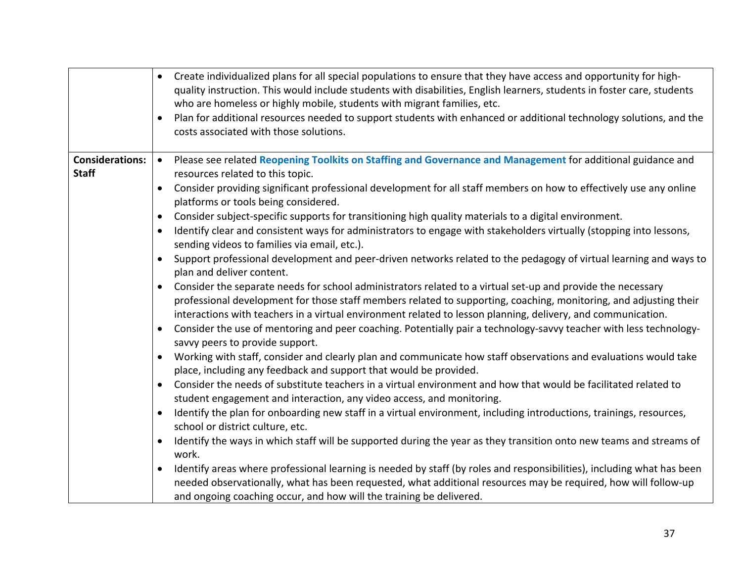|                                        | $\bullet$<br>$\bullet$ | Create individualized plans for all special populations to ensure that they have access and opportunity for high-<br>quality instruction. This would include students with disabilities, English learners, students in foster care, students<br>who are homeless or highly mobile, students with migrant families, etc.<br>Plan for additional resources needed to support students with enhanced or additional technology solutions, and the<br>costs associated with those solutions. |
|----------------------------------------|------------------------|-----------------------------------------------------------------------------------------------------------------------------------------------------------------------------------------------------------------------------------------------------------------------------------------------------------------------------------------------------------------------------------------------------------------------------------------------------------------------------------------|
| <b>Considerations:</b><br><b>Staff</b> | $\bullet$              | Please see related Reopening Toolkits on Staffing and Governance and Management for additional guidance and<br>resources related to this topic.                                                                                                                                                                                                                                                                                                                                         |
|                                        | $\bullet$              | Consider providing significant professional development for all staff members on how to effectively use any online<br>platforms or tools being considered.                                                                                                                                                                                                                                                                                                                              |
|                                        | $\bullet$              | Consider subject-specific supports for transitioning high quality materials to a digital environment.                                                                                                                                                                                                                                                                                                                                                                                   |
|                                        | $\bullet$              | Identify clear and consistent ways for administrators to engage with stakeholders virtually (stopping into lessons,<br>sending videos to families via email, etc.).                                                                                                                                                                                                                                                                                                                     |
|                                        |                        | Support professional development and peer-driven networks related to the pedagogy of virtual learning and ways to<br>plan and deliver content.                                                                                                                                                                                                                                                                                                                                          |
|                                        | $\bullet$              | Consider the separate needs for school administrators related to a virtual set-up and provide the necessary<br>professional development for those staff members related to supporting, coaching, monitoring, and adjusting their<br>interactions with teachers in a virtual environment related to lesson planning, delivery, and communication.                                                                                                                                        |
|                                        | $\bullet$              | Consider the use of mentoring and peer coaching. Potentially pair a technology-savvy teacher with less technology-<br>savvy peers to provide support.                                                                                                                                                                                                                                                                                                                                   |
|                                        | $\bullet$              | Working with staff, consider and clearly plan and communicate how staff observations and evaluations would take<br>place, including any feedback and support that would be provided.                                                                                                                                                                                                                                                                                                    |
|                                        | $\bullet$              | Consider the needs of substitute teachers in a virtual environment and how that would be facilitated related to<br>student engagement and interaction, any video access, and monitoring.                                                                                                                                                                                                                                                                                                |
|                                        | $\bullet$              | Identify the plan for onboarding new staff in a virtual environment, including introductions, trainings, resources,<br>school or district culture, etc.                                                                                                                                                                                                                                                                                                                                 |
|                                        |                        | Identify the ways in which staff will be supported during the year as they transition onto new teams and streams of<br>work.                                                                                                                                                                                                                                                                                                                                                            |
|                                        | $\bullet$              | Identify areas where professional learning is needed by staff (by roles and responsibilities), including what has been<br>needed observationally, what has been requested, what additional resources may be required, how will follow-up<br>and ongoing coaching occur, and how will the training be delivered.                                                                                                                                                                         |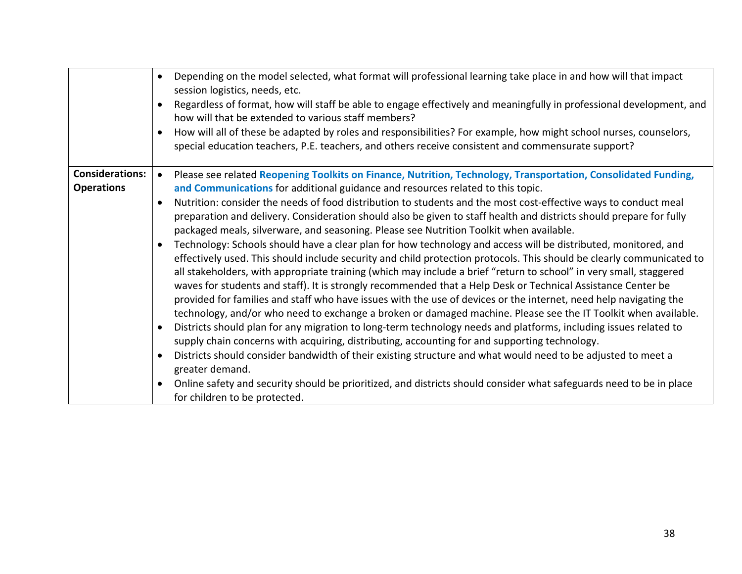|                                             | Depending on the model selected, what format will professional learning take place in and how will that impact<br>$\bullet$<br>session logistics, needs, etc.<br>Regardless of format, how will staff be able to engage effectively and meaningfully in professional development, and<br>$\bullet$                                                                                                                                                                                                                                                                                                                                                                                                                                                                                                                                                                                                                                                                                                                                                                                               |
|---------------------------------------------|--------------------------------------------------------------------------------------------------------------------------------------------------------------------------------------------------------------------------------------------------------------------------------------------------------------------------------------------------------------------------------------------------------------------------------------------------------------------------------------------------------------------------------------------------------------------------------------------------------------------------------------------------------------------------------------------------------------------------------------------------------------------------------------------------------------------------------------------------------------------------------------------------------------------------------------------------------------------------------------------------------------------------------------------------------------------------------------------------|
|                                             | how will that be extended to various staff members?                                                                                                                                                                                                                                                                                                                                                                                                                                                                                                                                                                                                                                                                                                                                                                                                                                                                                                                                                                                                                                              |
|                                             | How will all of these be adapted by roles and responsibilities? For example, how might school nurses, counselors,<br>$\bullet$                                                                                                                                                                                                                                                                                                                                                                                                                                                                                                                                                                                                                                                                                                                                                                                                                                                                                                                                                                   |
|                                             | special education teachers, P.E. teachers, and others receive consistent and commensurate support?                                                                                                                                                                                                                                                                                                                                                                                                                                                                                                                                                                                                                                                                                                                                                                                                                                                                                                                                                                                               |
| <b>Considerations:</b><br><b>Operations</b> | Please see related Reopening Toolkits on Finance, Nutrition, Technology, Transportation, Consolidated Funding,<br>$\bullet$<br>and Communications for additional guidance and resources related to this topic.                                                                                                                                                                                                                                                                                                                                                                                                                                                                                                                                                                                                                                                                                                                                                                                                                                                                                   |
|                                             | Nutrition: consider the needs of food distribution to students and the most cost-effective ways to conduct meal<br>$\bullet$<br>preparation and delivery. Consideration should also be given to staff health and districts should prepare for fully<br>packaged meals, silverware, and seasoning. Please see Nutrition Toolkit when available.                                                                                                                                                                                                                                                                                                                                                                                                                                                                                                                                                                                                                                                                                                                                                   |
|                                             | Technology: Schools should have a clear plan for how technology and access will be distributed, monitored, and<br>$\bullet$<br>effectively used. This should include security and child protection protocols. This should be clearly communicated to<br>all stakeholders, with appropriate training (which may include a brief "return to school" in very small, staggered<br>waves for students and staff). It is strongly recommended that a Help Desk or Technical Assistance Center be<br>provided for families and staff who have issues with the use of devices or the internet, need help navigating the<br>technology, and/or who need to exchange a broken or damaged machine. Please see the IT Toolkit when available.<br>Districts should plan for any migration to long-term technology needs and platforms, including issues related to<br>$\bullet$<br>supply chain concerns with acquiring, distributing, accounting for and supporting technology.<br>Districts should consider bandwidth of their existing structure and what would need to be adjusted to meet a<br>$\bullet$ |
|                                             | greater demand.                                                                                                                                                                                                                                                                                                                                                                                                                                                                                                                                                                                                                                                                                                                                                                                                                                                                                                                                                                                                                                                                                  |
|                                             | Online safety and security should be prioritized, and districts should consider what safeguards need to be in place<br>$\bullet$<br>for children to be protected.                                                                                                                                                                                                                                                                                                                                                                                                                                                                                                                                                                                                                                                                                                                                                                                                                                                                                                                                |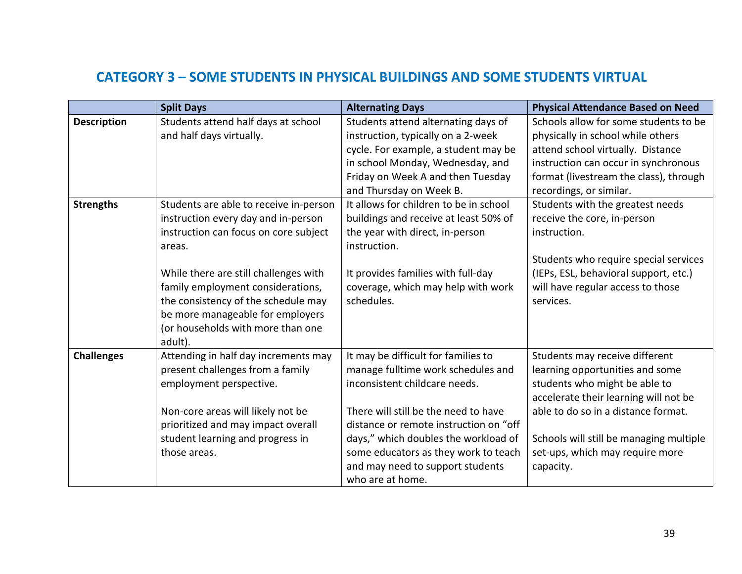## **CATEGORY 3 – SOME STUDENTS IN PHYSICAL BUILDINGS AND SOME STUDENTS VIRTUAL**

|                    | <b>Split Days</b>                                                                                                                                                                                                                                                                                                                         | <b>Alternating Days</b>                                                                                                                                                                                                                                                                                                              | <b>Physical Attendance Based on Need</b>                                                                                                                                                                                                                                      |
|--------------------|-------------------------------------------------------------------------------------------------------------------------------------------------------------------------------------------------------------------------------------------------------------------------------------------------------------------------------------------|--------------------------------------------------------------------------------------------------------------------------------------------------------------------------------------------------------------------------------------------------------------------------------------------------------------------------------------|-------------------------------------------------------------------------------------------------------------------------------------------------------------------------------------------------------------------------------------------------------------------------------|
| <b>Description</b> | Students attend half days at school<br>and half days virtually.                                                                                                                                                                                                                                                                           | Students attend alternating days of<br>instruction, typically on a 2-week<br>cycle. For example, a student may be<br>in school Monday, Wednesday, and<br>Friday on Week A and then Tuesday<br>and Thursday on Week B.                                                                                                                | Schools allow for some students to be<br>physically in school while others<br>attend school virtually. Distance<br>instruction can occur in synchronous<br>format (livestream the class), through<br>recordings, or similar.                                                  |
| <b>Strengths</b>   | Students are able to receive in-person<br>instruction every day and in-person<br>instruction can focus on core subject<br>areas.<br>While there are still challenges with<br>family employment considerations,<br>the consistency of the schedule may<br>be more manageable for employers<br>(or households with more than one<br>adult). | It allows for children to be in school<br>buildings and receive at least 50% of<br>the year with direct, in-person<br>instruction.<br>It provides families with full-day<br>coverage, which may help with work<br>schedules.                                                                                                         | Students with the greatest needs<br>receive the core, in-person<br>instruction.<br>Students who require special services<br>(IEPs, ESL, behavioral support, etc.)<br>will have regular access to those<br>services.                                                           |
| <b>Challenges</b>  | Attending in half day increments may<br>present challenges from a family<br>employment perspective.<br>Non-core areas will likely not be<br>prioritized and may impact overall<br>student learning and progress in<br>those areas.                                                                                                        | It may be difficult for families to<br>manage fulltime work schedules and<br>inconsistent childcare needs.<br>There will still be the need to have<br>distance or remote instruction on "off<br>days," which doubles the workload of<br>some educators as they work to teach<br>and may need to support students<br>who are at home. | Students may receive different<br>learning opportunities and some<br>students who might be able to<br>accelerate their learning will not be<br>able to do so in a distance format.<br>Schools will still be managing multiple<br>set-ups, which may require more<br>capacity. |
|                    |                                                                                                                                                                                                                                                                                                                                           |                                                                                                                                                                                                                                                                                                                                      | 39                                                                                                                                                                                                                                                                            |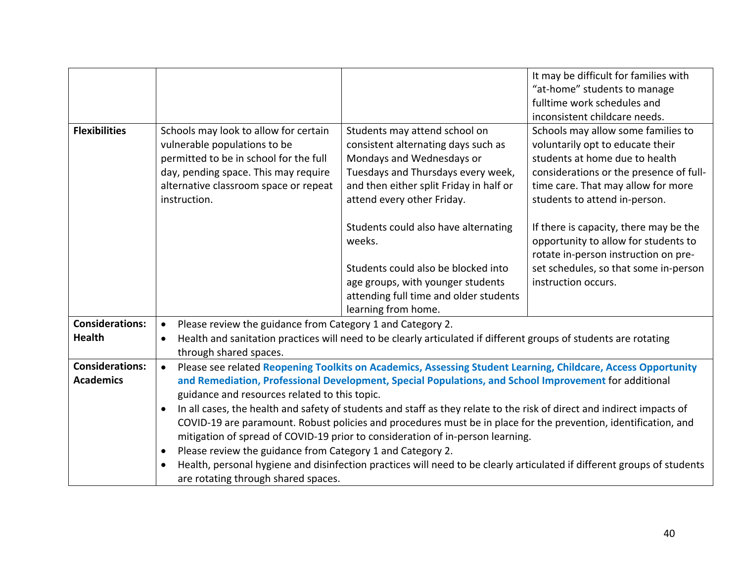|                        |                                                                                                                            |                                                                                                                         | It may be difficult for families with                                                                                  |  |
|------------------------|----------------------------------------------------------------------------------------------------------------------------|-------------------------------------------------------------------------------------------------------------------------|------------------------------------------------------------------------------------------------------------------------|--|
|                        |                                                                                                                            |                                                                                                                         | "at-home" students to manage                                                                                           |  |
|                        |                                                                                                                            |                                                                                                                         | fulltime work schedules and                                                                                            |  |
|                        |                                                                                                                            |                                                                                                                         | inconsistent childcare needs.                                                                                          |  |
| <b>Flexibilities</b>   | Schools may look to allow for certain                                                                                      | Students may attend school on                                                                                           | Schools may allow some families to                                                                                     |  |
|                        | vulnerable populations to be                                                                                               | consistent alternating days such as                                                                                     | voluntarily opt to educate their                                                                                       |  |
|                        | permitted to be in school for the full                                                                                     | Mondays and Wednesdays or                                                                                               | students at home due to health                                                                                         |  |
|                        | day, pending space. This may require                                                                                       | Tuesdays and Thursdays every week,                                                                                      | considerations or the presence of full-                                                                                |  |
|                        | alternative classroom space or repeat                                                                                      | and then either split Friday in half or                                                                                 | time care. That may allow for more                                                                                     |  |
|                        | instruction.                                                                                                               | attend every other Friday.                                                                                              | students to attend in-person.                                                                                          |  |
|                        |                                                                                                                            | Students could also have alternating<br>weeks.                                                                          | If there is capacity, there may be the<br>opportunity to allow for students to<br>rotate in-person instruction on pre- |  |
|                        |                                                                                                                            | Students could also be blocked into                                                                                     | set schedules, so that some in-person                                                                                  |  |
|                        |                                                                                                                            | age groups, with younger students                                                                                       | instruction occurs.                                                                                                    |  |
|                        |                                                                                                                            | attending full time and older students                                                                                  |                                                                                                                        |  |
|                        |                                                                                                                            | learning from home.                                                                                                     |                                                                                                                        |  |
| <b>Considerations:</b> | $\bullet$                                                                                                                  | Please review the guidance from Category 1 and Category 2.                                                              |                                                                                                                        |  |
| <b>Health</b>          | $\bullet$                                                                                                                  | Health and sanitation practices will need to be clearly articulated if different groups of students are rotating        |                                                                                                                        |  |
|                        | through shared spaces.                                                                                                     |                                                                                                                         |                                                                                                                        |  |
| <b>Considerations:</b> | Please see related Reopening Toolkits on Academics, Assessing Student Learning, Childcare, Access Opportunity<br>$\bullet$ |                                                                                                                         |                                                                                                                        |  |
| <b>Academics</b>       | and Remediation, Professional Development, Special Populations, and School Improvement for additional                      |                                                                                                                         |                                                                                                                        |  |
|                        | guidance and resources related to this topic.                                                                              |                                                                                                                         |                                                                                                                        |  |
|                        | In all cases, the health and safety of students and staff as they relate to the risk of direct and indirect impacts of     |                                                                                                                         |                                                                                                                        |  |
|                        |                                                                                                                            | COVID-19 are paramount. Robust policies and procedures must be in place for the prevention, identification, and         |                                                                                                                        |  |
|                        | mitigation of spread of COVID-19 prior to consideration of in-person learning.                                             |                                                                                                                         |                                                                                                                        |  |
|                        | Please review the guidance from Category 1 and Category 2.<br>$\bullet$                                                    |                                                                                                                         |                                                                                                                        |  |
|                        |                                                                                                                            | Health, personal hygiene and disinfection practices will need to be clearly articulated if different groups of students |                                                                                                                        |  |
|                        | are rotating through shared spaces.                                                                                        |                                                                                                                         |                                                                                                                        |  |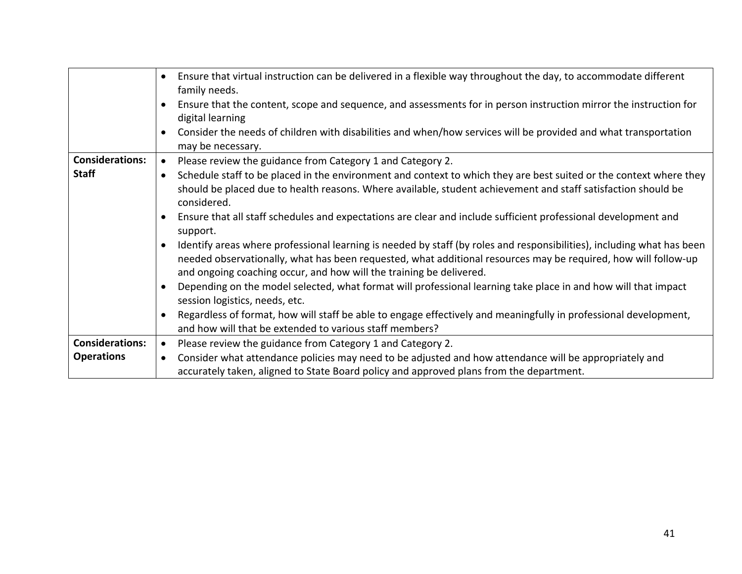|                        | Ensure that virtual instruction can be delivered in a flexible way throughout the day, to accommodate different<br>$\bullet$<br>family needs.                                                                                                                                                                   |  |
|------------------------|-----------------------------------------------------------------------------------------------------------------------------------------------------------------------------------------------------------------------------------------------------------------------------------------------------------------|--|
|                        | Ensure that the content, scope and sequence, and assessments for in person instruction mirror the instruction for<br>digital learning                                                                                                                                                                           |  |
|                        | Consider the needs of children with disabilities and when/how services will be provided and what transportation<br>may be necessary.                                                                                                                                                                            |  |
| <b>Considerations:</b> | Please review the guidance from Category 1 and Category 2.<br>$\bullet$                                                                                                                                                                                                                                         |  |
| <b>Staff</b>           | Schedule staff to be placed in the environment and context to which they are best suited or the context where they<br>should be placed due to health reasons. Where available, student achievement and staff satisfaction should be<br>considered.                                                              |  |
|                        | Ensure that all staff schedules and expectations are clear and include sufficient professional development and<br>support.                                                                                                                                                                                      |  |
|                        | Identify areas where professional learning is needed by staff (by roles and responsibilities), including what has been<br>needed observationally, what has been requested, what additional resources may be required, how will follow-up<br>and ongoing coaching occur, and how will the training be delivered. |  |
|                        | Depending on the model selected, what format will professional learning take place in and how will that impact<br>session logistics, needs, etc.                                                                                                                                                                |  |
|                        | Regardless of format, how will staff be able to engage effectively and meaningfully in professional development,<br>and how will that be extended to various staff members?                                                                                                                                     |  |
| <b>Considerations:</b> | Please review the guidance from Category 1 and Category 2.<br>$\bullet$                                                                                                                                                                                                                                         |  |
| <b>Operations</b>      | Consider what attendance policies may need to be adjusted and how attendance will be appropriately and<br>٠                                                                                                                                                                                                     |  |
|                        | accurately taken, aligned to State Board policy and approved plans from the department.                                                                                                                                                                                                                         |  |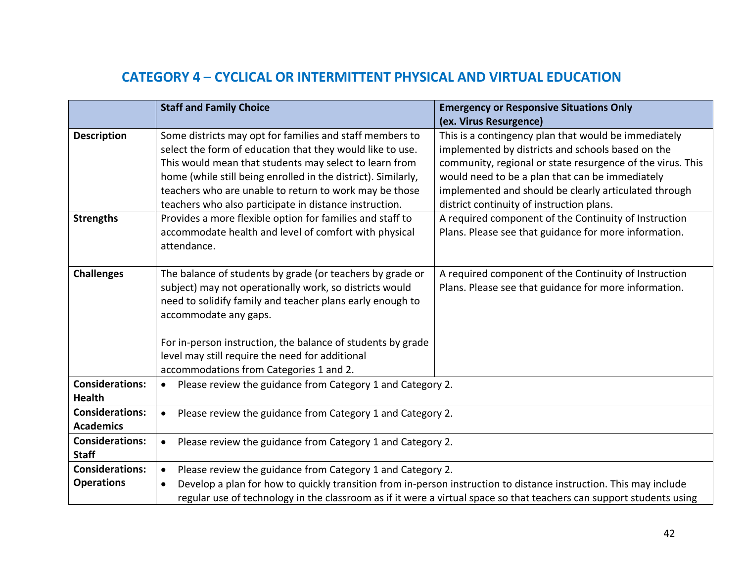# **CATEGORY 4 – CYCLICAL OR INTERMITTENT PHYSICAL AND VIRTUAL EDUCATION**

|                        | <b>Staff and Family Choice</b>                                                                                       | <b>Emergency or Responsive Situations Only</b>             |  |
|------------------------|----------------------------------------------------------------------------------------------------------------------|------------------------------------------------------------|--|
|                        |                                                                                                                      | (ex. Virus Resurgence)                                     |  |
| <b>Description</b>     | Some districts may opt for families and staff members to                                                             | This is a contingency plan that would be immediately       |  |
|                        | select the form of education that they would like to use.                                                            | implemented by districts and schools based on the          |  |
|                        | This would mean that students may select to learn from                                                               | community, regional or state resurgence of the virus. This |  |
|                        | home (while still being enrolled in the district). Similarly,                                                        | would need to be a plan that can be immediately            |  |
|                        | teachers who are unable to return to work may be those                                                               | implemented and should be clearly articulated through      |  |
|                        | teachers who also participate in distance instruction.                                                               | district continuity of instruction plans.                  |  |
| <b>Strengths</b>       | Provides a more flexible option for families and staff to                                                            | A required component of the Continuity of Instruction      |  |
|                        | accommodate health and level of comfort with physical                                                                | Plans. Please see that guidance for more information.      |  |
|                        | attendance.                                                                                                          |                                                            |  |
|                        |                                                                                                                      |                                                            |  |
| <b>Challenges</b>      | The balance of students by grade (or teachers by grade or                                                            | A required component of the Continuity of Instruction      |  |
|                        | subject) may not operationally work, so districts would                                                              | Plans. Please see that guidance for more information.      |  |
|                        | need to solidify family and teacher plans early enough to                                                            |                                                            |  |
|                        | accommodate any gaps.                                                                                                |                                                            |  |
|                        | For in-person instruction, the balance of students by grade                                                          |                                                            |  |
|                        | level may still require the need for additional                                                                      |                                                            |  |
|                        | accommodations from Categories 1 and 2.                                                                              |                                                            |  |
| <b>Considerations:</b> |                                                                                                                      |                                                            |  |
| <b>Health</b>          | Please review the guidance from Category 1 and Category 2.<br>$\bullet$                                              |                                                            |  |
| <b>Considerations:</b> | Please review the guidance from Category 1 and Category 2.                                                           |                                                            |  |
| <b>Academics</b>       | $\bullet$                                                                                                            |                                                            |  |
| <b>Considerations:</b> | Please review the guidance from Category 1 and Category 2.                                                           |                                                            |  |
| <b>Staff</b>           | $\bullet$                                                                                                            |                                                            |  |
| <b>Considerations:</b> | Please review the guidance from Category 1 and Category 2.<br>$\bullet$                                              |                                                            |  |
| <b>Operations</b>      | Develop a plan for how to quickly transition from in-person instruction to distance instruction. This may include    |                                                            |  |
|                        | regular use of technology in the classroom as if it were a virtual space so that teachers can support students using |                                                            |  |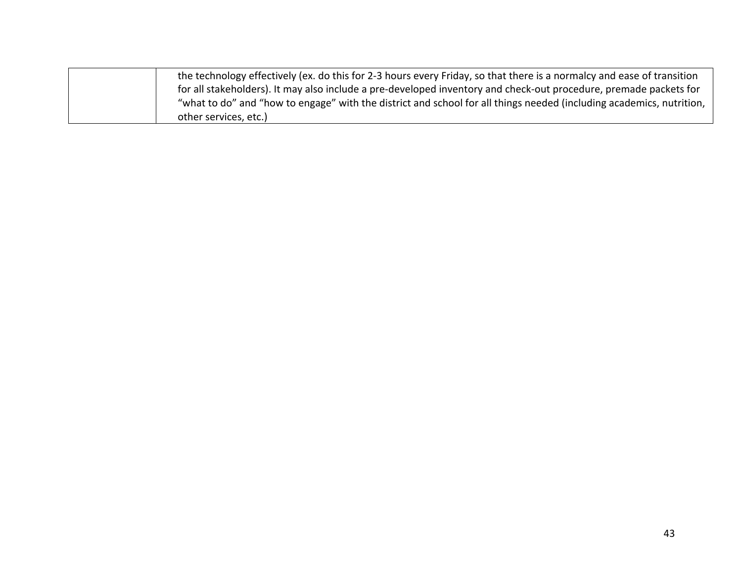| the technology effectively (ex. do this for 2-3 hours every Friday, so that there is a normalcy and ease of transition |
|------------------------------------------------------------------------------------------------------------------------|
| for all stakeholders). It may also include a pre-developed inventory and check-out procedure, premade packets for      |
| "what to do" and "how to engage" with the district and school for all things needed (including academics, nutrition,   |
| other services, etc.)                                                                                                  |